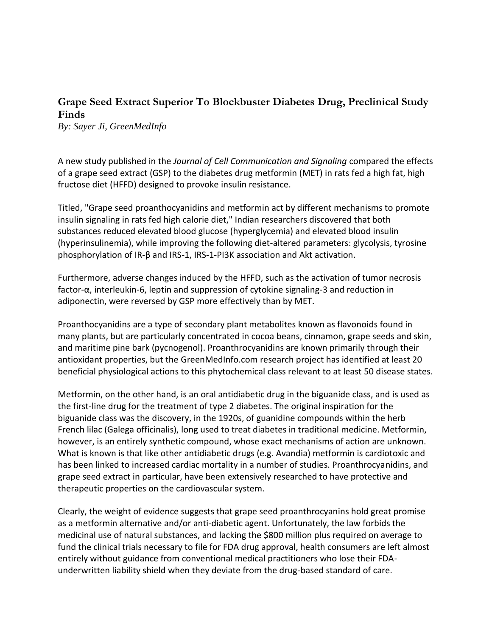## **Grape Seed Extract Superior To Blockbuster Diabetes Drug, Preclinical Study Finds**

*By: Sayer Ji, GreenMedInfo*

A new study published in the *Journal of Cell Communication and Signaling* compared the effects of a grape seed extract (GSP) to the diabetes drug metformin (MET) in rats fed a high fat, high [fructose diet](http://www.greenmedinfo.com/toxic-ingredient/fructose) (HFFD) designed to provoke [insulin resistance.](http://www.greenmedinfo.com/disease/insulin-resistance)

Titled, "Grape seed proanthocyanidins and metformin act by different mechanisms to promote insulin signaling in rats fed high calorie diet," Indian researchers discovered that both substances reduced elevated blood glucose [\(hyperglycemia\)](http://www.greenmedinfo.com/disease/hyperglycemia) and elevated blood insulin [\(hyperinsulinemia\)](http://www.greenmedinfo.com/disease/hyperinsulinism), while improving the following diet-altered parameters: glycolysis, tyrosine phosphorylation of IR-β and IRS-1, IRS-1-PI3K association and Akt activation.

Furthermore, adverse changes induced by the HFFD, such as the activation of tumor necrosis factor-α, interleukin-6, leptin and suppression of cytokine signaling-3 and reduction in adiponectin, were reversed by GSP more effectively than by MET.

Proanthocyanidins are a type of secondary plant metabolites known as flavonoids found in many plants, but are particularly concentrated in cocoa beans, cinnamon, grape seeds and skin, and maritime pine bark [\(pycnogenol\)](http://www.greenmedinfo.com/substance/pycnogenol-pine-bark). Proanthrocyanidins are known primarily through their antioxidant properties, but the [GreenMedInfo.com](http://www.greenmedinfo.com/) research project has identified at least 20 beneficial physiological actions to this phytochemical class relevant to at least 50 disease states.

Metformin, on the other hand, is an oral antidiabetic drug in the biguanide class, and is used as the first-line drug for the treatment of type 2 diabetes. The original inspiration for the biguanide class was the discovery, in the 1920s, of guanidine compounds within the herb French lilac (Galega officinalis), long used to treat diabetes in traditional medicine. Metformin, however, is an entirely synthetic compound, whose exact mechanisms of action are unknown. What is known is that like other antidiabetic drugs (e.g. Avandia) metformin is cardiotoxic and has been linked to increased cardiac mortality in a number of studies. Proanthrocyanidins, and grape seed extract in particular, have been extensively researched to have protective and therapeutic properties on the cardiovascular system.

Clearly, the weight of evidence suggests that grape seed proanthrocyanins hold great promise as a [metformin alternative](http://www.greenmedinfo.com/keyword/metformin-alternatives) and/or [anti-diabetic agent.](http://www.greenmedinfo.com/disease/diabetes-mellitus-type-2) Unfortunately, [the law forbids the](http://www.greenmedinfo.com/blog/why-law-forbids-medicinal-use-natural-substances)  [medicinal use of natural substances,](http://www.greenmedinfo.com/blog/why-law-forbids-medicinal-use-natural-substances) and lacking the \$800 million plus required on average to fund the clinical trials necessary to file for FDA drug approval, health consumers are left almost entirely without guidance from conventional medical practitioners who lose their FDAunderwritten liability shield when they deviate from the drug-based standard of care.